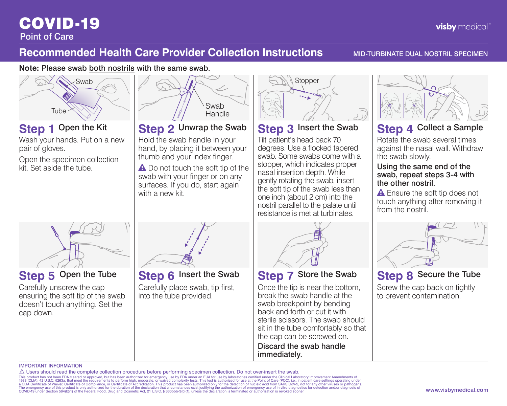# COVID-19

### **Recommended Health Care Provider Collection Instructions MID-TURBINATE DUAL NOSTRIL SPECIMEN**

**Note:** Please swab both nostrils with the same swab.



### IMPORTANT INFORMATION

 $\triangle$  Users should read the complete collection procedure before performing specimen collection. Do not over-insert the swab.

This product has not been FDA cleared or approved, but has been authorized for emergency use by FDA under an EUA for use by laboratories certified under the Clinical Laboratory Improvement Amendments of<br>1988 (CLIA), 42 U.S The emergency use of this product is only authorized for the duration of the declaration that circumstances exist justifying the authorization of emergency use of in vitro diagnostics for detection and/or diagnosis of comp

**visby** medical"